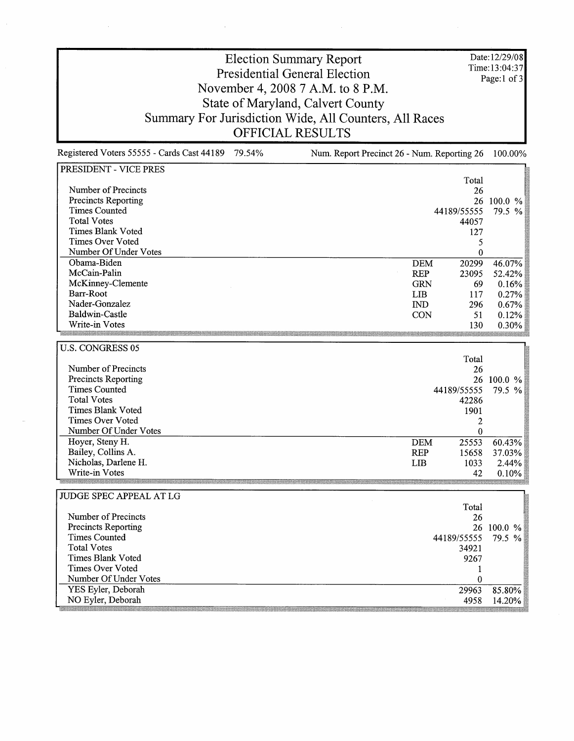Date: 12/29/08 Time:13:04:37 Page: 1 of 3

## Election Summary Report Presidential General Election November 4, 2008 7 A.M. to 8 P.M. State of Maryland, Calvert County Summary For Jurisdiction Wide, All Counters, All Races OFFICIAL RESULTS

Registered Voters 55555 - Cards Cast 44189 79.54% Num. Report Precinct 26 - Num. Reporting 26 100.00%

| PRESIDENT - VICE PRES      |                       |             |            |
|----------------------------|-----------------------|-------------|------------|
|                            |                       | Total       |            |
| Number of Precincts        |                       | 26          |            |
| Precincts Reporting        |                       |             | 26 100.0 % |
| <b>Times Counted</b>       |                       | 44189/55555 | 79.5 %     |
| <b>Total Votes</b>         |                       | 44057       |            |
| <b>Times Blank Voted</b>   |                       | 127         |            |
| <b>Times Over Voted</b>    |                       | 5           |            |
| Number Of Under Votes      |                       | $\bf{0}$    |            |
| Obama-Biden                | <b>DEM</b>            | 20299       | 46.07%     |
| McCain-Palin               | <b>REP</b>            | 23095       | 52.42%     |
| McKinney-Clemente          | <b>GRN</b>            | 69          | 0.16%      |
| Barr-Root                  | <b>LIB</b>            | 117         | 0.27%      |
| Nader-Gonzalez             | $\mathbf{IND}$        | 296         | 0.67%      |
| Baldwin-Castle             | <b>CON</b>            | 51          | 0.12%      |
| Write-in Votes             |                       | 130         | 0.30%      |
|                            |                       |             |            |
| <b>U.S. CONGRESS 05</b>    |                       |             |            |
|                            |                       | Total       |            |
| Number of Precincts        |                       | 26          |            |
| Precincts Reporting        |                       |             | 26 100.0 % |
| <b>Times Counted</b>       |                       | 44189/55555 | 79.5 %     |
| <b>Total Votes</b>         |                       | 42286       |            |
| <b>Times Blank Voted</b>   |                       | 1901        |            |
| <b>Times Over Voted</b>    |                       | 2           |            |
| Number Of Under Votes      |                       | $\bf{0}$    |            |
| Hoyer, Steny H.            | <b>DEM</b>            | 25553       | 60.43%     |
| Bailey, Collins A.         | <b>REP</b>            | 15658       | 37.03%     |
| Nicholas, Darlene H.       | <b>LIB</b>            | 1033        | 2.44%      |
| Write-in Votes             |                       | 42          | 0.10%      |
|                            |                       |             |            |
| JUDGE SPEC APPEAL AT LG    |                       |             |            |
|                            |                       | Total       |            |
| Number of Precincts        |                       | 26          |            |
| <b>Precincts Reporting</b> |                       |             | 26 100.0 % |
| <b>Times Counted</b>       | 44189/55555<br>79.5 % |             |            |
| <b>Total Votes</b>         |                       | 34921       |            |
| <b>Times Blank Voted</b>   |                       | 9267        |            |
| <b>Times Over Voted</b>    |                       | 1           |            |
| Number Of Under Votes      |                       | $\theta$    |            |
| YES Eyler, Deborah         |                       | 29963       | 85.80%     |
| NO Eyler, Deborah          |                       | 4958        | 14.20%     |
|                            |                       |             |            |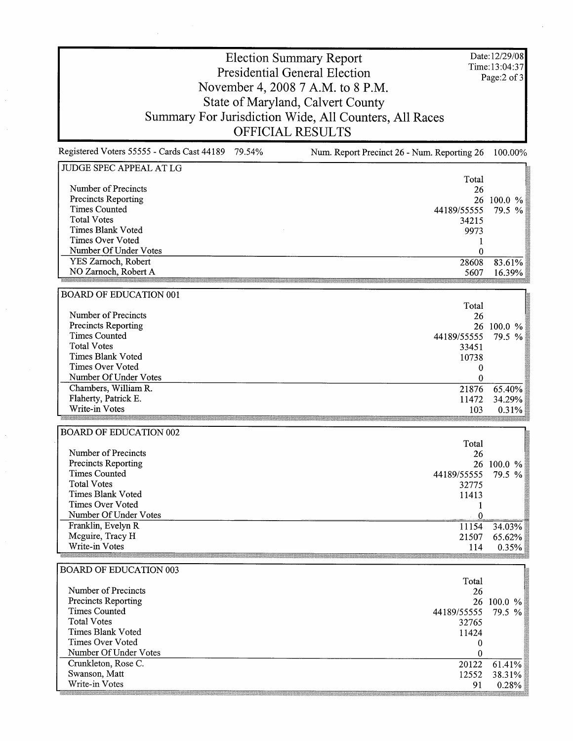Date: 12/29/08 Time: 13 :04:37 Page: 2 of 3

## Election Summary Report Presidential General Election November 4, 2008 7 A.M. to 8 P.M. State of Maryland, Calvert County Summary For Jurisdiction Wide, All Counters, All Races OFFICIAL RESULTS

Registered Voters 55555 - Cards Cast 44189 79.54% Num. Report Precinct 26 - Num. Reporting 26 100.00% JUDGE SPEC APPEAL AT LG Total<br>26 Number of Precincts Precincts Reporting 26 100.0 %<br>55 79.5 % Times Counted 44189/55555 Total Votes 34215 Times Blank Voted  $9973\n1$ Times Over Voted Number Of Under Votes  $\bf{0}$ YES Zarnoch, Robert 28608 83.61%<br>5607 16.39% NO Zarnoch, Robert A 16.39% BOARD OF EDUCATION 001 Total Number of Precincts 26 Precincts Reporting 26 100.0 %<br>555 79.5 % Times Counted 44189/55555 Total Votes 33451 Times Blank Voted  $\begin{array}{c} 10738 \\ 0 \end{array}$ Times Over Voted Number Of Under Votes  $\mathbf 0$ Chambers, William R. 21876 65.40%<br>11472 34.29% Flaherty, Patrick E. 34.29% Write-in Votes 103 0.31% BOARD OF EDUCATION 002 Total Number of Precincts 26 Precincts Reporting 100.0 % Times Counted 44189/55555 79.5 % Total Votes 32775 Times Blank Voted 11413 Times Over Voted  $\mathbf{1}$  $\mathbf{0}$ Franklin, Evelyn R 11154 34.03% Mcguire, Tracy H 21507 65.62%<br>114 0.35% Write-in Votes 0.35% BOARD OF EDUCATION 003 Total Number of Precincts 26 Precincts Reporting 26 100.0 % Times Counted

| 44189/55555 79.5 % |
|--------------------|
| 32765              |
| 11424              |
|                    |
|                    |
| $61.41\%$<br>20122 |
| $38.31\%$<br>12552 |
| $0.28\%$           |
|                    |